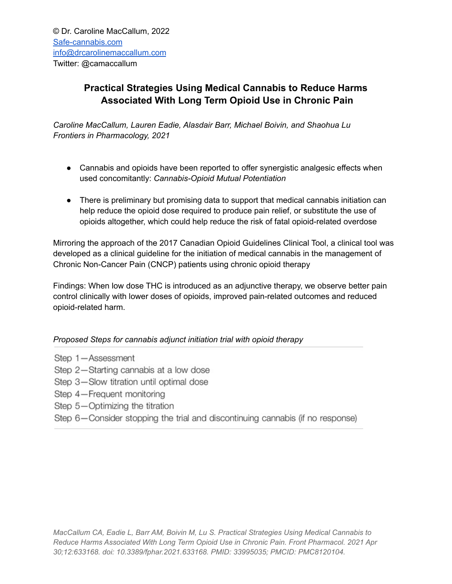## **Practical Strategies Using Medical Cannabis to Reduce Harms Associated With Long Term Opioid Use in Chronic Pain**

*Caroline MacCallum, Lauren Eadie, Alasdair Barr, Michael Boivin, and Shaohua Lu Frontiers in Pharmacology, 2021*

- Cannabis and opioids have been reported to offer synergistic analgesic effects when used concomitantly: *Cannabis-Opioid Mutual Potentiation*
- There is preliminary but promising data to support that medical cannabis initiation can help reduce the opioid dose required to produce pain relief, or substitute the use of opioids altogether, which could help reduce the risk of fatal opioid-related overdose

Mirroring the approach of the 2017 Canadian Opioid Guidelines Clinical Tool, a clinical tool was developed as a clinical guideline for the initiation of medical cannabis in the management of Chronic Non-Cancer Pain (CNCP) patients using chronic opioid therapy

Findings: When low dose THC is introduced as an adjunctive therapy, we observe better pain control clinically with lower doses of opioids, improved pain-related outcomes and reduced opioid-related harm.

## *Proposed Steps for cannabis adjunct initiation trial with opioid therapy*

- Step 1-Assessment
- Step 2-Starting cannabis at a low dose
- Step 3-Slow titration until optimal dose
- Step 4-Frequent monitoring
- Step 5-Optimizing the titration
- Step 6-Consider stopping the trial and discontinuing cannabis (if no response)